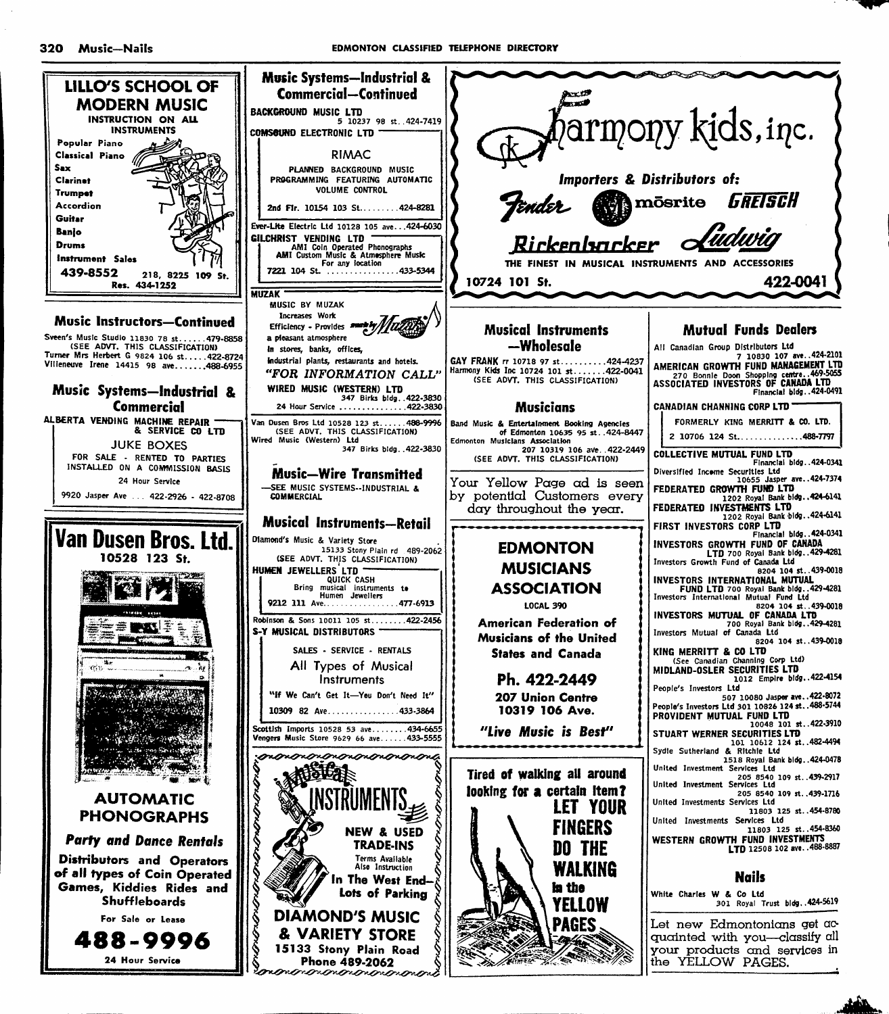

montronononononono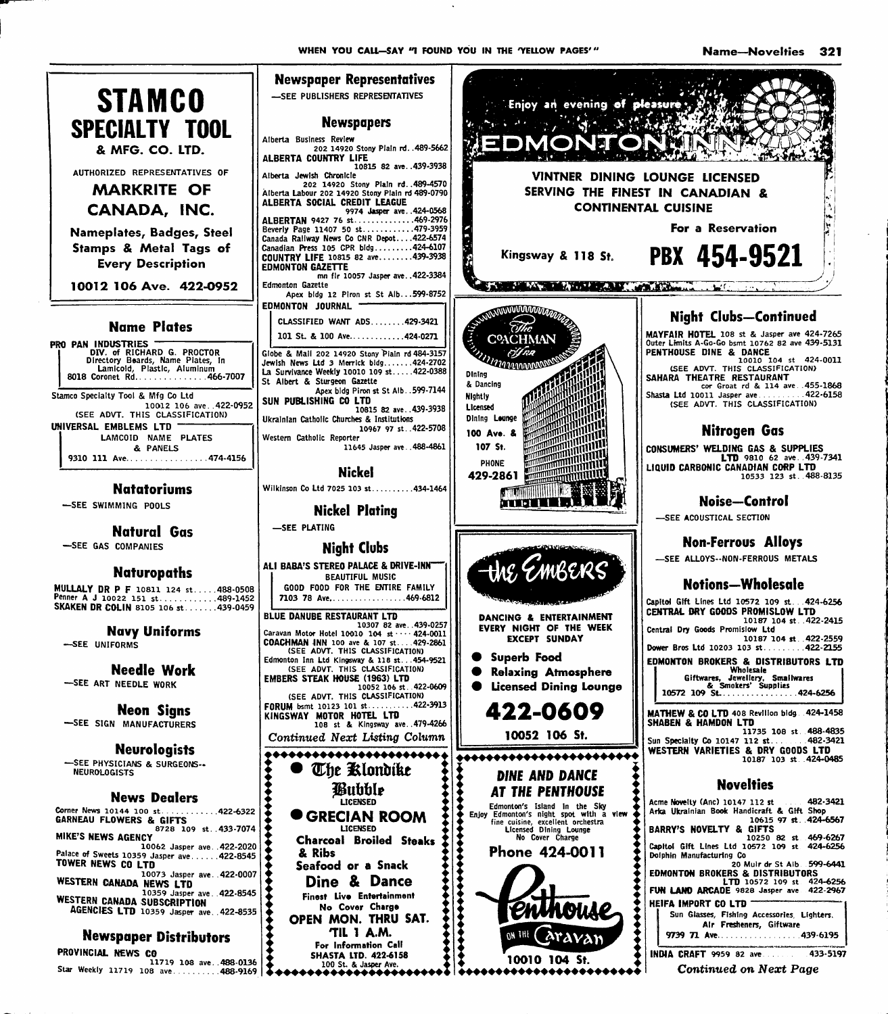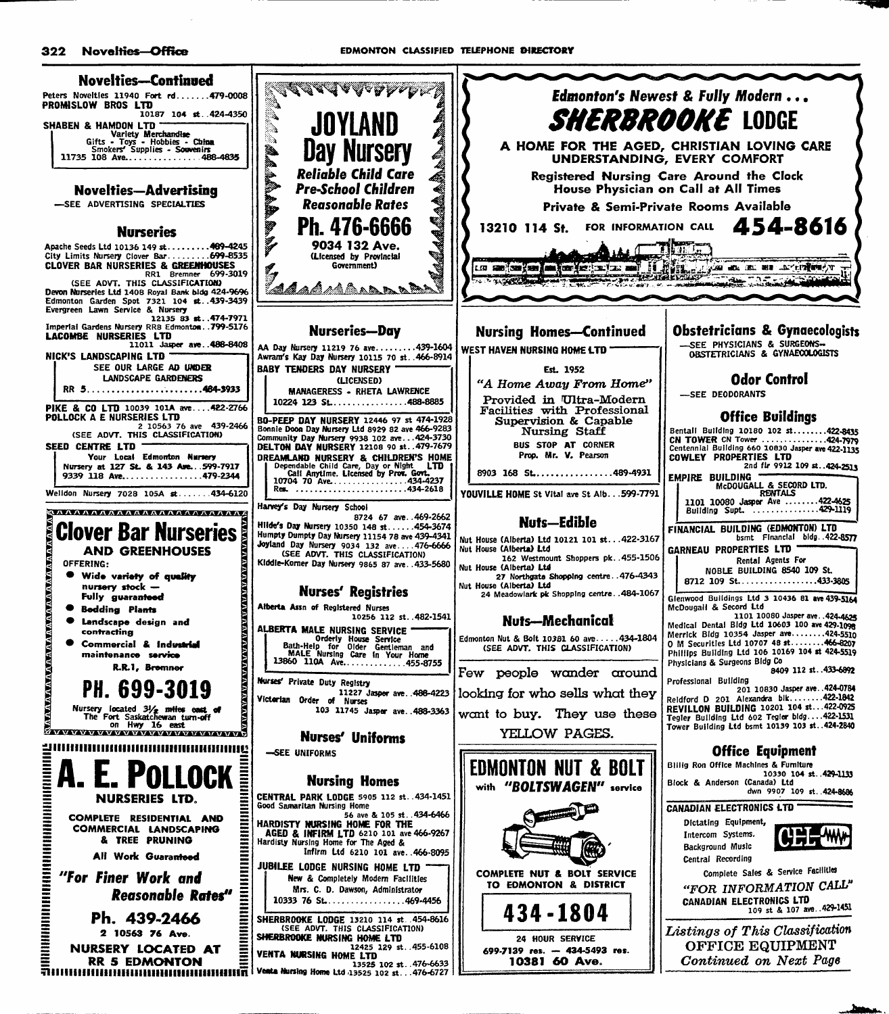